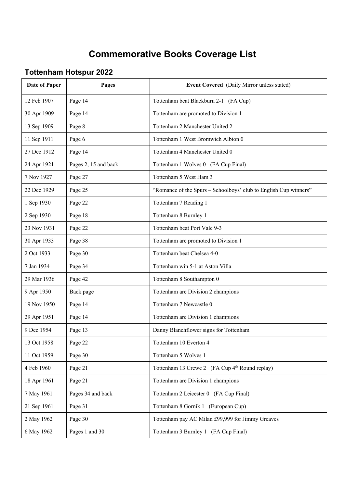## **Commemorative Books Coverage List**

## **Tottenham Hotspur 2022**

| Date of Paper | Pages                | <b>Event Covered</b> (Daily Mirror unless stated)                |
|---------------|----------------------|------------------------------------------------------------------|
| 12 Feb 1907   | Page 14              | Tottenham beat Blackburn 2-1 (FA Cup)                            |
| 30 Apr 1909   | Page 14              | Tottenham are promoted to Division 1                             |
| 13 Sep 1909   | Page 8               | Tottenham 2 Manchester United 2                                  |
| 11 Sep 1911   | Page 6               | Tottenham 1 West Bromwich Albion 0                               |
| 27 Dec 1912   | Page 14              | Tottenham 4 Manchester United 0                                  |
| 24 Apr 1921   | Pages 2, 15 and back | Tottenham 1 Wolves 0 (FA Cup Final)                              |
| 7 Nov 1927    | Page 27              | Tottenham 5 West Ham 3                                           |
| 22 Dec 1929   | Page 25              | "Romance of the Spurs - Schoolboys' club to English Cup winners" |
| 1 Sep 1930    | Page 22              | Tottenham 7 Reading 1                                            |
| 2 Sep 1930    | Page 18              | Tottenham 8 Burnley 1                                            |
| 23 Nov 1931   | Page 22              | Tottenham beat Port Vale 9-3                                     |
| 30 Apr 1933   | Page 38              | Tottenham are promoted to Division 1                             |
| 2 Oct 1933    | Page 30              | Tottenham beat Chelsea 4-0                                       |
| 7 Jan 1934    | Page 34              | Tottenham win 5-1 at Aston Villa                                 |
| 29 Mar 1936   | Page 42              | Tottenham 8 Southampton 0                                        |
| 9 Apr 1950    | Back page            | Tottenham are Division 2 champions                               |
| 19 Nov 1950   | Page 14              | Tottenham 7 Newcastle 0                                          |
| 29 Apr 1951   | Page 14              | Tottenham are Division 1 champions                               |
| 9 Dec 1954    | Page 13              | Danny Blanchflower signs for Tottenham                           |
| 13 Oct 1958   | Page 22              | Tottenham 10 Everton 4                                           |
| 11 Oct 1959   | Page 30              | Tottenham 5 Wolves 1                                             |
| 4 Feb 1960    | Page 21              | Tottenham 13 Crewe 2 (FA Cup 4 <sup>th</sup> Round replay)       |
| 18 Apr 1961   | Page 21              | Tottenham are Division 1 champions                               |
| 7 May 1961    | Pages 34 and back    | Tottenham 2 Leicester 0 (FA Cup Final)                           |
| 21 Sep 1961   | Page 31              | Tottenham 8 Gornik 1 (European Cup)                              |
| 2 May 1962    | Page 30              | Tottenham pay AC Milan £99,999 for Jimmy Greaves                 |
| 6 May 1962    | Pages 1 and 30       | Tottenham 3 Burnley 1 (FA Cup Final)                             |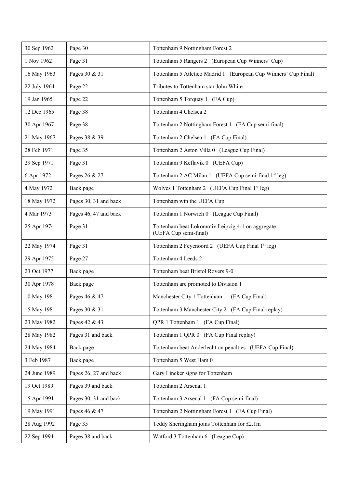| 30 Sep 1962  | Page 30               | Tottenham 9 Nottingham Forest 2                                            |
|--------------|-----------------------|----------------------------------------------------------------------------|
| 1 Nov 1962   | Page 31               | Tottenham 5 Rangers 2 (European Cup Winners' Cup)                          |
| 16 May 1963  | Pages 30 & 31         | Tottenham 5 Atletico Madrid 1 (European Cup Winners' Cup Final)            |
| 22 July 1964 | Page 22               | Tributes to Tottenham star John White                                      |
| 19 Jan 1965  | Page 22               | Tottenham 5 Torquay 1 (FA Cup)                                             |
| 12 Dec 1965  | Page 38               | Tottenham 4 Chelsea 2                                                      |
| 30 Apr 1967  | Page 38               | Tottenham 2 Nottingham Forest 1 (FA Cup semi-final)                        |
| 21 May 1967  | Pages 38 & 39         | Tottenham 2 Chelsea 1 (FA Cup Final)                                       |
| 28 Feb 1971  | Page 35               | Tottenham 2 Aston Villa 0 (League Cup Final)                               |
| 29 Sep 1971  | Page 31               | Tottenham 9 Keflavik 0 (UEFA Cup)                                          |
| 6 Apr 1972   | Pages 26 & 27         | Tottenham 2 AC Milan 1 (UEFA Cup semi-final 1st leg)                       |
| 4 May 1972   | Back page             | Wolves 1 Tottenham 2 (UEFA Cup Final 1st leg)                              |
| 18 May 1972  | Pages 30, 31 and back | Tottenham win the UEFA Cup                                                 |
| 4 Mar 1973   | Pages 46, 47 and back | Tottenham 1 Norwich 0 (League Cup Final)                                   |
| 25 Apr 1974  | Page 31               | Tottenham beat Lokomotiv Leipzig 4-1 on aggregate<br>(UEFA Cup semi-final) |
| 22 May 1974  | Page 31               | Tottenham 2 Feyenoord 2 (UEFA Cup Final 1st leg)                           |
| 29 Apr 1975  | Page 27               | Tottenham 4 Leeds 2                                                        |
| 23 Oct 1977  | Back page             | Tottenham beat Bristol Rovers 9-0                                          |
| 30 Apr 1978  | Back page             | Tottenham are promoted to Division 1                                       |
| 10 May 1981  | Pages 46 & 47         | Manchester City 1 Tottenham 1 (FA Cup Final)                               |
| 15 May 1981  | Pages 30 & 31         | Tottenham 3 Manchester City 2 (FA Cup Final replay)                        |
| 23 May 1982  | Pages 42 & 43         | QPR 1 Tottenham 1 (FA Cup Final)                                           |
| 28 May 1982  | Pages 31 and back     | Tottenham 1 QPR 0 (FA Cup Final replay)                                    |
| 24 May 1984  | Back page             | Tottenham beat Anderlecht on penalties (UEFA Cup Final)                    |
| 3 Feb 1987   | Back page             | Tottenham 5 West Ham 0                                                     |
| 24 June 1989 | Pages 26, 27 and back | Gary Lineker signs for Tottenham                                           |
| 19 Oct 1989  | Pages 39 and back     | Tottenham 2 Arsenal 1                                                      |
| 15 Apr 1991  | Pages 30, 31 and back | Tottenham 3 Arsenal 1 (FA Cup semi-final)                                  |
| 19 May 1991  | Pages 46 & 47         | Tottenham 2 Nottingham Forest 1 (FA Cup Final)                             |
| 28 Aug 1992  | Page 35               | Teddy Sheringham joins Tottenham for £2.1m                                 |
| 22 Sep 1994  | Pages 38 and back     | Watford 3 Tottenham 6 (League Cup)                                         |